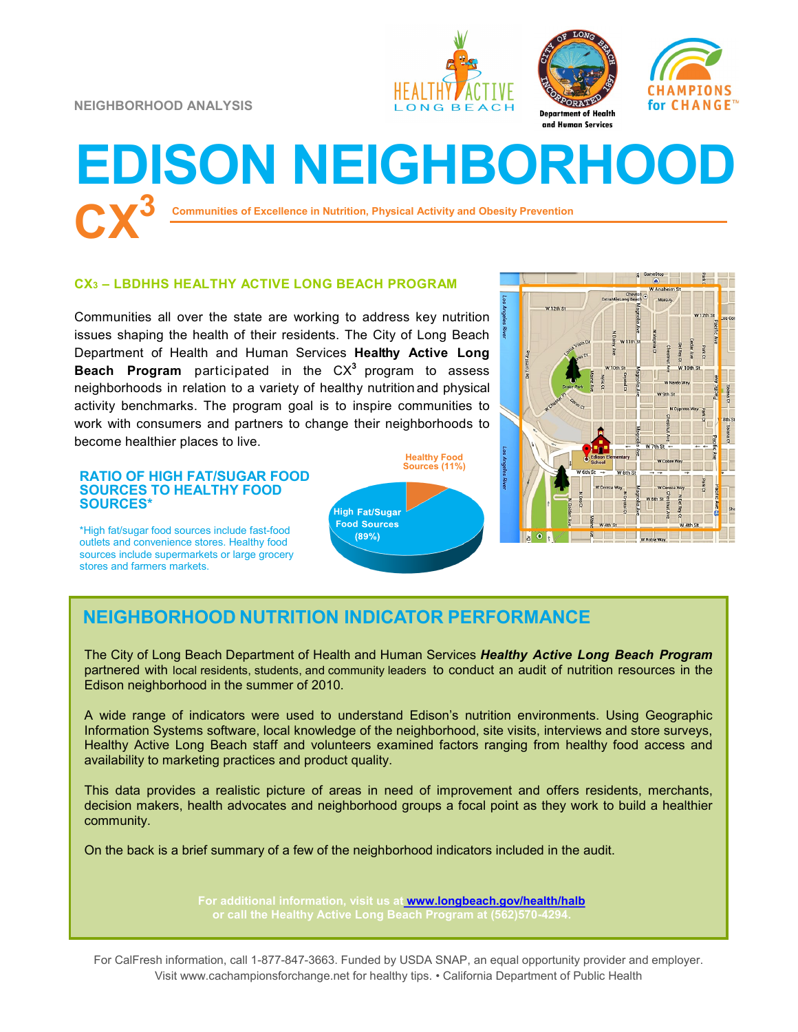**NEIGHBORHOOD ANALYSIS**







# **Communities of Excellence in Nutrition, Physical Activity and Obesity Prevention CX<sup>3</sup> EDISON NEIGHBORHOOD**

### **CX<sup>3</sup> – LBDHHS HEALTHY ACTIVE LONG BEACH PROGRAM**

Communities all over the state are working to address key nutrition issues shaping the health of their residents. The City of Long Beach Department of Health and Human Services **Healthy Active Long Beach Program** participated in the CX**<sup>3</sup>** program to assess neighborhoods in relation to a variety of healthy nutrition and physical activity benchmarks. The program goal is to inspire communities to work with consumers and partners to change their neighborhoods to become healthier places to live.

#### **RATIO OF HIGH FAT/SUGAR FOOD SOURCES TO HEALTHY FOOD SOURCES\***

\*High fat/sugar food sources include fast-food outlets and convenience stores. Healthy food sources include supermarkets or large grocery stores and farmers markets.





## **NEIGHBORHOOD NUTRITION INDICATOR PERFORMANCE**

The City of Long Beach Department of Health and Human Services *Healthy Active Long Beach Program*  partnered with local residents, students, and community leaders to conduct an audit of nutrition resources in the Edison neighborhood in the summer of 2010.

A wide range of indicators were used to understand Edison's nutrition environments. Using Geographic Information Systems software, local knowledge of the neighborhood, site visits, interviews and store surveys, Healthy Active Long Beach staff and volunteers examined factors ranging from healthy food access and availability to marketing practices and product quality.

This data provides a realistic picture of areas in need of improvement and offers residents, merchants, decision makers, health advocates and neighborhood groups a focal point as they work to build a healthier community.

On the back is a brief summary of a few of the neighborhood indicators included in the audit.

**For additional information, visit us at [www.longbeach.gov/health/halb](http://%20www.longbeach.gov/health%20)**

For CalFresh information, call 1-877-847-3663. Funded by USDA SNAP, an equal opportunity provider and employer. Visit www.cachampionsforchange.net for healthy tips. • California Department of Public Health